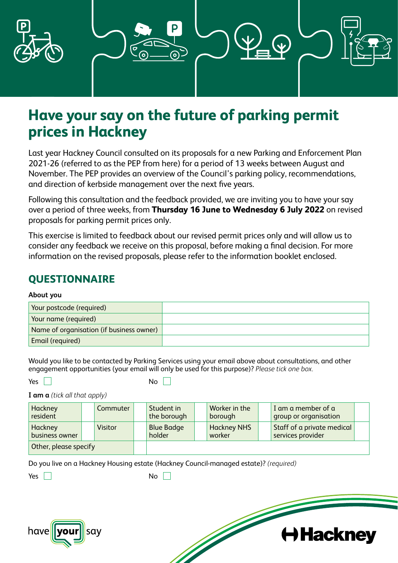

# **Have your say on the future of parking permit prices in Hackney**

Last year Hackney Council consulted on its proposals for a new Parking and Enforcement Plan 2021-26 (referred to as the PEP from here) for a period of 13 weeks between August and November. The PEP provides an overview of the Council's parking policy, recommendations, and direction of kerbside management over the next five years.

Following this consultation and the feedback provided, we are inviting you to have your say over a period of three weeks, from **Thursday 16 June to Wednesday 6 July 2022** on revised proposals for parking permit prices only.

This exercise is limited to feedback about our revised permit prices only and will allow us to consider any feedback we receive on this proposal, before making a final decision. For more information on the revised proposals, please refer to the information booklet enclosed.

# **QUESTIONNAIRE**

### **About you**

| Your postcode (required)                 |  |
|------------------------------------------|--|
| Your name (required)                     |  |
| Name of organisation (if business owner) |  |
| Email (required)                         |  |

Would you like to be contacted by Parking Services using your email above about consultations, and other engagement opportunities (your email will only be used for this purpose)? *Please tick one box.*

 $Yes \tN$ 

**I am a** *(tick all that apply)*

| Hackney<br>resident       | Commuter       | Student in<br>the borough   | Worker in the<br>borough     | I am a member of a<br>group or organisation     |  |
|---------------------------|----------------|-----------------------------|------------------------------|-------------------------------------------------|--|
| Hackney<br>business owner | <b>Visitor</b> | <b>Blue Badge</b><br>holder | <b>Hackney NHS</b><br>worker | Staff of a private medical<br>services provider |  |
| Other, please specify     |                |                             |                              |                                                 |  |

**H** Hackney

Do you live on a Hackney Housing estate (Hackney Council-managed estate)? *(required)*

Yes **No No No No No** 

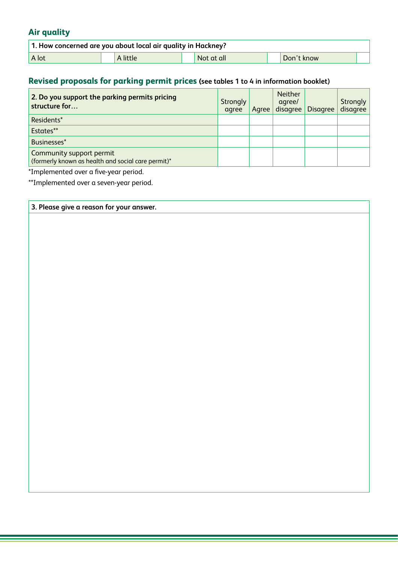## **Air quality**

| <sup>1</sup> 1. How concerned are you about local air quality in Hackney? |  |          |  |            |  |            |  |  |  |
|---------------------------------------------------------------------------|--|----------|--|------------|--|------------|--|--|--|
| A lot                                                                     |  | A little |  | Not at all |  | Don't know |  |  |  |

## **Revised proposals for parking permit prices (see tables 1 to 4 in information booklet)**

| 2. Do you support the parking permits pricing<br>structure for                 | <b>Strongly</b><br>agree | Agree | <b>Neither</b><br>agree/<br>disagree | <b>Disagree</b> | <b>Strongly</b><br>disagree |
|--------------------------------------------------------------------------------|--------------------------|-------|--------------------------------------|-----------------|-----------------------------|
| Residents*                                                                     |                          |       |                                      |                 |                             |
| Estates**                                                                      |                          |       |                                      |                 |                             |
| Businesses*                                                                    |                          |       |                                      |                 |                             |
| Community support permit<br>(formerly known as health and social care permit)* |                          |       |                                      |                 |                             |

\*Implemented over a five-year period.

\*\*Implemented over a seven-year period.

| 3. Please give a reason for your answer. |  |
|------------------------------------------|--|
|                                          |  |
|                                          |  |
|                                          |  |
|                                          |  |
|                                          |  |
|                                          |  |
|                                          |  |
|                                          |  |
|                                          |  |
|                                          |  |
|                                          |  |
|                                          |  |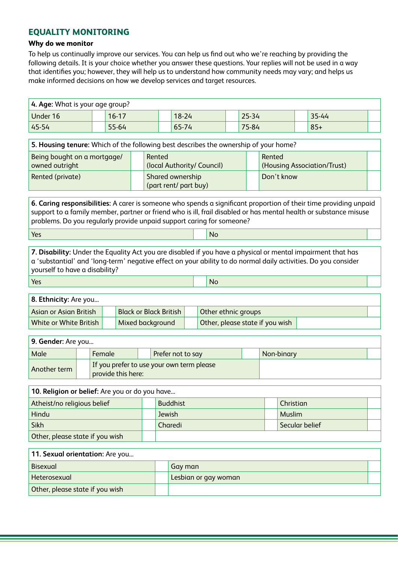### **EQUALITY MONITORING**

#### **Why do we monitor**

To help us continually improve our services. You can help us find out who we're reaching by providing the following details. It is your choice whether you answer these questions. Your replies will not be used in a way that identifies you; however, they will help us to understand how community needs may vary; and helps us make informed decisions on how we develop services and target resources.

| 4. Age: What is your age group? |           |           |           |       |  |
|---------------------------------|-----------|-----------|-----------|-------|--|
| Under 16                        | $16 - 17$ | $18 - 24$ | $25 - 34$ | 35-44 |  |
| $ 45-54$                        | 55-64     | 65-74     | 75-84     | $85+$ |  |

| 5. Housing tenure: Which of the following best describes the ownership of your home? |  |                                           |  |                                       |  |  |  |
|--------------------------------------------------------------------------------------|--|-------------------------------------------|--|---------------------------------------|--|--|--|
| Being bought on a mortgage/<br>owned outright                                        |  | Rented<br>(local Authority/ Council)      |  | Rented<br>(Housing Association/Trust) |  |  |  |
| Rented (private)                                                                     |  | Shared ownership<br>(part rent/ part buy) |  | Don't know                            |  |  |  |

**6. Caring responsibilities:** A carer is someone who spends a significant proportion of their time providing unpaid support to a family member, partner or friend who is ill, frail disabled or has mental health or substance misuse problems. Do you regularly provide unpaid support caring for someone?

Yes and the contract of the contract of the contract of the contract of the contract of the contract of the co

**7. Disability:** Under the Equality Act you are disabled if you have a physical or mental impairment that has a 'substantial' and 'long-term' negative effect on your ability to do normal daily activities. Do you consider yourself to have a disability?

Yes and the contract of the contract of the contract of the contract of the contract of the contract of the co

**8. Ethnicity:** Are you...

| Asian or Asian British | <b>Black or Black British</b> | Other ethnic groups             |  |
|------------------------|-------------------------------|---------------------------------|--|
| White or White British | Mixed background              | Other, please state if you wish |  |

| 9. Gender: Are you |  |                    |  |                                           |  |            |  |
|--------------------|--|--------------------|--|-------------------------------------------|--|------------|--|
| Male               |  | Female             |  | Prefer not to say                         |  | Non-binary |  |
| Another term       |  | provide this here: |  | If you prefer to use your own term please |  |            |  |

| 10. Religion or belief: Are you or do you have |  |                 |  |                |  |  |  |  |
|------------------------------------------------|--|-----------------|--|----------------|--|--|--|--|
| Atheist/no religious belief                    |  | <b>Buddhist</b> |  | Christian      |  |  |  |  |
| Hindu                                          |  | <b>Jewish</b>   |  | <b>Muslim</b>  |  |  |  |  |
| Sikh                                           |  | Charedi         |  | Secular belief |  |  |  |  |
| Other, please state if you wish                |  |                 |  |                |  |  |  |  |

| 11. Sexual orientation: Are you |                      |  |
|---------------------------------|----------------------|--|
| Bisexual                        | Gay man              |  |
| Heterosexual                    | Lesbian or gay woman |  |
| Other, please state if you wish |                      |  |